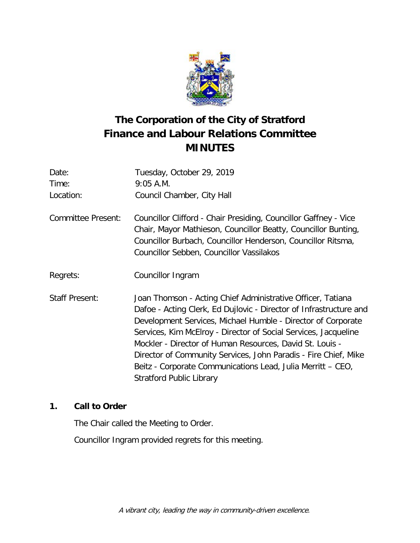

# **The Corporation of the City of Stratford Finance and Labour Relations Committee MINUTES**

| Date:                 | Tuesday, October 29, 2019                                                                                                                                                                                                                                                                                                                                                                                                                                                                             |
|-----------------------|-------------------------------------------------------------------------------------------------------------------------------------------------------------------------------------------------------------------------------------------------------------------------------------------------------------------------------------------------------------------------------------------------------------------------------------------------------------------------------------------------------|
| Time:                 | $9:05$ A.M.                                                                                                                                                                                                                                                                                                                                                                                                                                                                                           |
| Location:             | Council Chamber, City Hall                                                                                                                                                                                                                                                                                                                                                                                                                                                                            |
| Committee Present:    | Councillor Clifford - Chair Presiding, Councillor Gaffney - Vice<br>Chair, Mayor Mathieson, Councillor Beatty, Councillor Bunting,<br>Councillor Burbach, Councillor Henderson, Councillor Ritsma,<br>Councillor Sebben, Councillor Vassilakos                                                                                                                                                                                                                                                        |
| Regrets:              | Councillor Ingram                                                                                                                                                                                                                                                                                                                                                                                                                                                                                     |
| <b>Staff Present:</b> | Joan Thomson - Acting Chief Administrative Officer, Tatiana<br>Dafoe - Acting Clerk, Ed Dujlovic - Director of Infrastructure and<br>Development Services, Michael Humble - Director of Corporate<br>Services, Kim McElroy - Director of Social Services, Jacqueline<br>Mockler - Director of Human Resources, David St. Louis -<br>Director of Community Services, John Paradis - Fire Chief, Mike<br>Beitz - Corporate Communications Lead, Julia Merritt – CEO,<br><b>Stratford Public Library</b> |

# **1. Call to Order**

The Chair called the Meeting to Order. Councillor Ingram provided regrets for this meeting.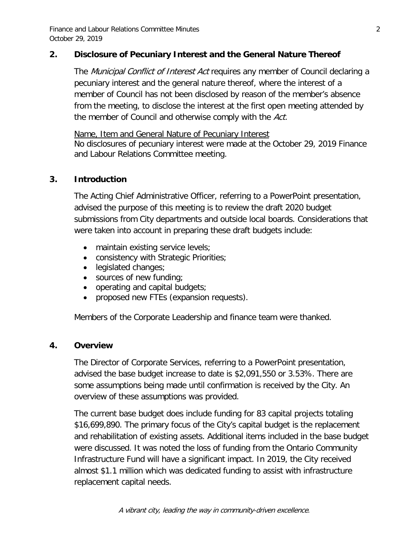Finance and Labour Relations Committee Minutes 2 October 29, 2019

## **2. Disclosure of Pecuniary Interest and the General Nature Thereof**

The *Municipal Conflict of Interest Act* requires any member of Council declaring a pecuniary interest and the general nature thereof, where the interest of a member of Council has not been disclosed by reason of the member's absence from the meeting, to disclose the interest at the first open meeting attended by the member of Council and otherwise comply with the Act.

Name, Item and General Nature of Pecuniary Interest No disclosures of pecuniary interest were made at the October 29, 2019 Finance and Labour Relations Committee meeting.

## **3. Introduction**

The Acting Chief Administrative Officer, referring to a PowerPoint presentation, advised the purpose of this meeting is to review the draft 2020 budget submissions from City departments and outside local boards. Considerations that were taken into account in preparing these draft budgets include:

- maintain existing service levels;
- consistency with Strategic Priorities;
- legislated changes;
- sources of new funding;
- operating and capital budgets;
- proposed new FTEs (expansion requests).

Members of the Corporate Leadership and finance team were thanked.

## **4. Overview**

The Director of Corporate Services, referring to a PowerPoint presentation, advised the base budget increase to date is \$2,091,550 or 3.53%. There are some assumptions being made until confirmation is received by the City. An overview of these assumptions was provided.

The current base budget does include funding for 83 capital projects totaling \$16,699,890. The primary focus of the City's capital budget is the replacement and rehabilitation of existing assets. Additional items included in the base budget were discussed. It was noted the loss of funding from the Ontario Community Infrastructure Fund will have a significant impact. In 2019, the City received almost \$1.1 million which was dedicated funding to assist with infrastructure replacement capital needs.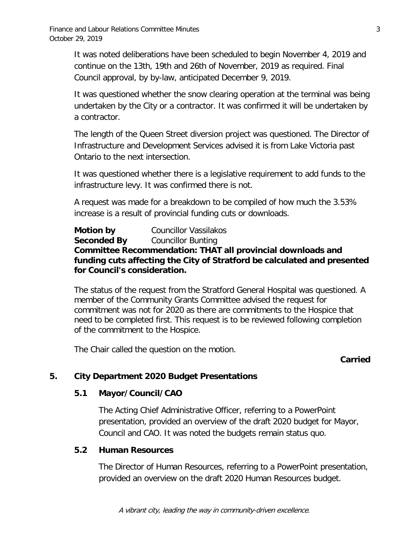It was noted deliberations have been scheduled to begin November 4, 2019 and continue on the 13th, 19th and 26th of November, 2019 as required. Final Council approval, by by-law, anticipated December 9, 2019.

It was questioned whether the snow clearing operation at the terminal was being undertaken by the City or a contractor. It was confirmed it will be undertaken by a contractor.

The length of the Queen Street diversion project was questioned. The Director of Infrastructure and Development Services advised it is from Lake Victoria past Ontario to the next intersection.

It was questioned whether there is a legislative requirement to add funds to the infrastructure levy. It was confirmed there is not.

A request was made for a breakdown to be compiled of how much the 3.53% increase is a result of provincial funding cuts or downloads.

**Motion by** Councillor Vassilakos<br>**Seconded By** Councillor Bunting **Seconded By** Councillor Bunting **Committee Recommendation: THAT all provincial downloads and funding cuts affecting the City of Stratford be calculated and presented for Council's consideration.**

The status of the request from the Stratford General Hospital was questioned. A member of the Community Grants Committee advised the request for commitment was not for 2020 as there are commitments to the Hospice that need to be completed first. This request is to be reviewed following completion of the commitment to the Hospice.

The Chair called the question on the motion.

## **Carried**

## **5. City Department 2020 Budget Presentations**

## **5.1 Mayor/Council/CAO**

The Acting Chief Administrative Officer, referring to a PowerPoint presentation, provided an overview of the draft 2020 budget for Mayor, Council and CAO. It was noted the budgets remain status quo.

## **5.2 Human Resources**

The Director of Human Resources, referring to a PowerPoint presentation, provided an overview on the draft 2020 Human Resources budget.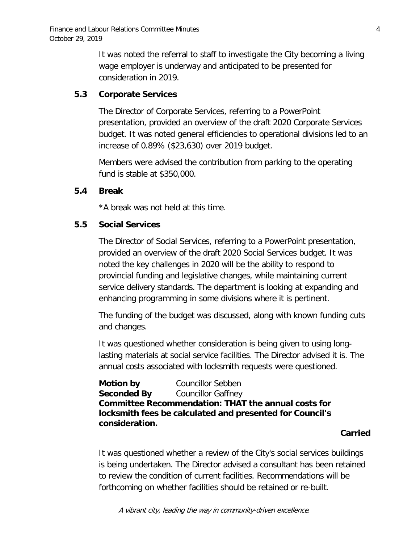It was noted the referral to staff to investigate the City becoming a living wage employer is underway and anticipated to be presented for consideration in 2019.

## **5.3 Corporate Services**

The Director of Corporate Services, referring to a PowerPoint presentation, provided an overview of the draft 2020 Corporate Services budget. It was noted general efficiencies to operational divisions led to an increase of 0.89% (\$23,630) over 2019 budget.

Members were advised the contribution from parking to the operating fund is stable at \$350,000.

## **5.4 Break**

\*A break was not held at this time.

## **5.5 Social Services**

The Director of Social Services, referring to a PowerPoint presentation, provided an overview of the draft 2020 Social Services budget. It was noted the key challenges in 2020 will be the ability to respond to provincial funding and legislative changes, while maintaining current service delivery standards. The department is looking at expanding and enhancing programming in some divisions where it is pertinent.

The funding of the budget was discussed, along with known funding cuts and changes.

It was questioned whether consideration is being given to using longlasting materials at social service facilities. The Director advised it is. The annual costs associated with locksmith requests were questioned.

**Motion by** Councillor Sebben **Seconded By** Councillor Gaffney **Committee Recommendation: THAT the annual costs for locksmith fees be calculated and presented for Council's consideration.**

#### **Carried**

It was questioned whether a review of the City's social services buildings is being undertaken. The Director advised a consultant has been retained to review the condition of current facilities. Recommendations will be forthcoming on whether facilities should be retained or re-built.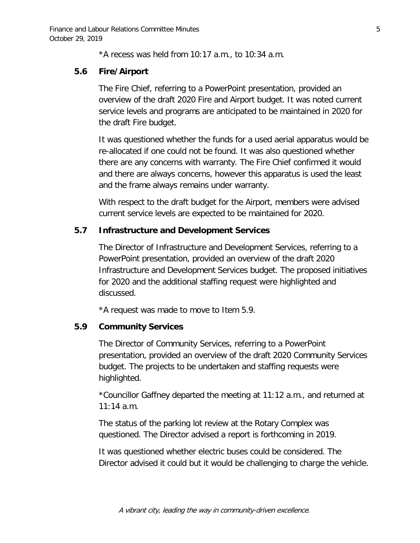\*A recess was held from 10:17 a.m., to 10:34 a.m.

## **5.6 Fire/Airport**

The Fire Chief, referring to a PowerPoint presentation, provided an overview of the draft 2020 Fire and Airport budget. It was noted current service levels and programs are anticipated to be maintained in 2020 for the draft Fire budget.

It was questioned whether the funds for a used aerial apparatus would be re-allocated if one could not be found. It was also questioned whether there are any concerns with warranty. The Fire Chief confirmed it would and there are always concerns, however this apparatus is used the least and the frame always remains under warranty.

With respect to the draft budget for the Airport, members were advised current service levels are expected to be maintained for 2020.

## **5.7 Infrastructure and Development Services**

The Director of Infrastructure and Development Services, referring to a PowerPoint presentation, provided an overview of the draft 2020 Infrastructure and Development Services budget. The proposed initiatives for 2020 and the additional staffing request were highlighted and discussed.

\*A request was made to move to Item 5.9.

## **5.9 Community Services**

The Director of Community Services, referring to a PowerPoint presentation, provided an overview of the draft 2020 Community Services budget. The projects to be undertaken and staffing requests were highlighted.

\*Councillor Gaffney departed the meeting at 11:12 a.m., and returned at 11:14 a.m.

The status of the parking lot review at the Rotary Complex was questioned. The Director advised a report is forthcoming in 2019.

It was questioned whether electric buses could be considered. The Director advised it could but it would be challenging to charge the vehicle.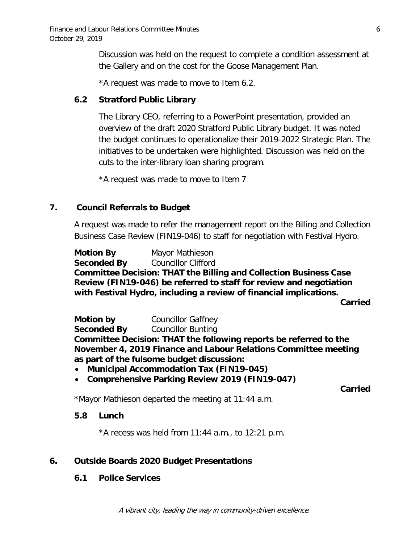Discussion was held on the request to complete a condition assessment at the Gallery and on the cost for the Goose Management Plan.

\*A request was made to move to Item 6.2.

## **6.2 Stratford Public Library**

The Library CEO, referring to a PowerPoint presentation, provided an overview of the draft 2020 Stratford Public Library budget. It was noted the budget continues to operationalize their 2019-2022 Strategic Plan. The initiatives to be undertaken were highlighted. Discussion was held on the cuts to the inter-library loan sharing program.

\*A request was made to move to Item 7

## **7. Council Referrals to Budget**

A request was made to refer the management report on the Billing and Collection Business Case Review (FIN19-046) to staff for negotiation with Festival Hydro.

**Motion By Seconded By** Mayor Mathieson Councillor Clifford **Committee Decision: THAT the Billing and Collection Business Case Review (FIN19-046) be referred to staff for review and negotiation with Festival Hydro, including a review of financial implications.**

**Carried**

**Motion by** Councillor Gaffney **Seconded By** Councillor Bunting **Committee Decision: THAT the following reports be referred to the November 4, 2019 Finance and Labour Relations Committee meeting as part of the fulsome budget discussion:**

- **Municipal Accommodation Tax (FIN19-045)**
- **Comprehensive Parking Review 2019 (FIN19-047)**

**Carried**

\*Mayor Mathieson departed the meeting at 11:44 a.m.

## **5.8 Lunch**

 $*A$  recess was held from 11:44 a.m., to 12:21 p.m.

## **6. Outside Boards 2020 Budget Presentations**

## **6.1 Police Services**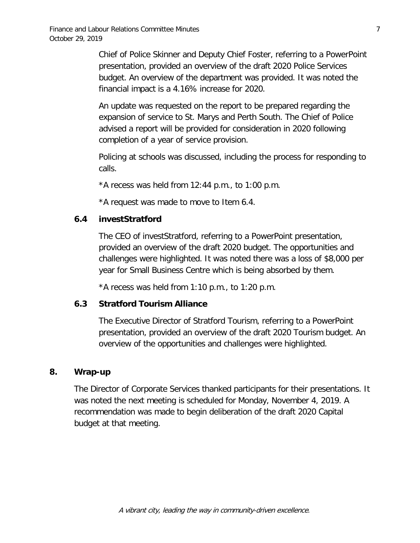Chief of Police Skinner and Deputy Chief Foster, referring to a PowerPoint presentation, provided an overview of the draft 2020 Police Services budget. An overview of the department was provided. It was noted the financial impact is a 4.16% increase for 2020.

An update was requested on the report to be prepared regarding the expansion of service to St. Marys and Perth South. The Chief of Police advised a report will be provided for consideration in 2020 following completion of a year of service provision.

Policing at schools was discussed, including the process for responding to calls.

 $*A$  recess was held from 12:44 p.m., to 1:00 p.m.

\*A request was made to move to Item 6.4.

## **6.4 investStratford**

The CEO of investStratford, referring to a PowerPoint presentation, provided an overview of the draft 2020 budget. The opportunities and challenges were highlighted. It was noted there was a loss of \$8,000 per year for Small Business Centre which is being absorbed by them.

 $*A$  recess was held from 1:10 p.m., to 1:20 p.m.

## **6.3 Stratford Tourism Alliance**

The Executive Director of Stratford Tourism, referring to a PowerPoint presentation, provided an overview of the draft 2020 Tourism budget. An overview of the opportunities and challenges were highlighted.

## **8. Wrap-up**

The Director of Corporate Services thanked participants for their presentations. It was noted the next meeting is scheduled for Monday, November 4, 2019. A recommendation was made to begin deliberation of the draft 2020 Capital budget at that meeting.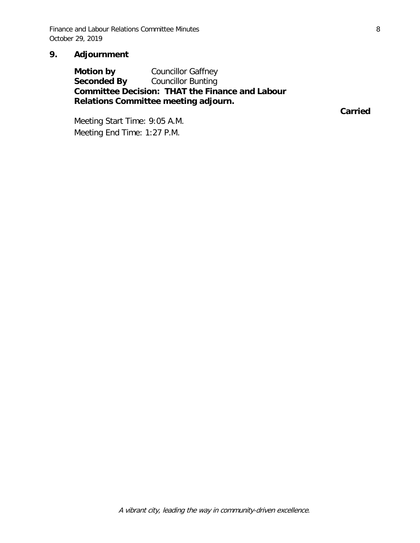Finance and Labour Relations Committee Minutes **8** 8 October 29, 2019

## **9. Adjournment**

**Motion by** Councillor Gaffney<br>**Seconded By** Councillor Bunting **Councillor Bunting Committee Decision: THAT the Finance and Labour Relations Committee meeting adjourn.**

**Carried**

Meeting Start Time: 9:05 A.M. Meeting End Time: 1:27 P.M.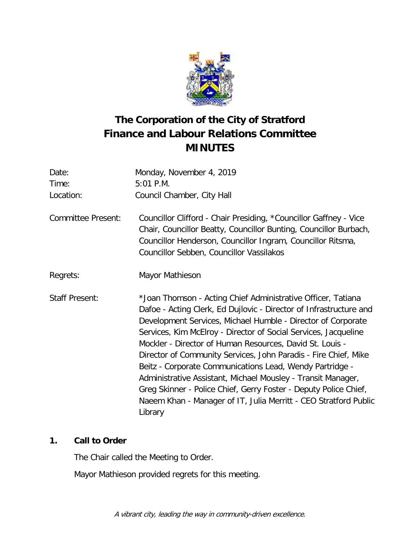

# **The Corporation of the City of Stratford Finance and Labour Relations Committee MINUTES**

| Date:                     | Monday, November 4, 2019                                                                                                                                                                                                                                                                                                                                                                                                                                                                                                                                                                                                                                                            |
|---------------------------|-------------------------------------------------------------------------------------------------------------------------------------------------------------------------------------------------------------------------------------------------------------------------------------------------------------------------------------------------------------------------------------------------------------------------------------------------------------------------------------------------------------------------------------------------------------------------------------------------------------------------------------------------------------------------------------|
| Time:                     | $5:01$ P.M.                                                                                                                                                                                                                                                                                                                                                                                                                                                                                                                                                                                                                                                                         |
| Location:                 | Council Chamber, City Hall                                                                                                                                                                                                                                                                                                                                                                                                                                                                                                                                                                                                                                                          |
| <b>Committee Present:</b> | Councillor Clifford - Chair Presiding, *Councillor Gaffney - Vice<br>Chair, Councillor Beatty, Councillor Bunting, Councillor Burbach,<br>Councillor Henderson, Councillor Ingram, Councillor Ritsma,<br>Councillor Sebben, Councillor Vassilakos                                                                                                                                                                                                                                                                                                                                                                                                                                   |
| Regrets:                  | Mayor Mathieson                                                                                                                                                                                                                                                                                                                                                                                                                                                                                                                                                                                                                                                                     |
| <b>Staff Present:</b>     | *Joan Thomson - Acting Chief Administrative Officer, Tatiana<br>Dafoe - Acting Clerk, Ed Dujlovic - Director of Infrastructure and<br>Development Services, Michael Humble - Director of Corporate<br>Services, Kim McElroy - Director of Social Services, Jacqueline<br>Mockler - Director of Human Resources, David St. Louis -<br>Director of Community Services, John Paradis - Fire Chief, Mike<br>Beitz - Corporate Communications Lead, Wendy Partridge -<br>Administrative Assistant, Michael Mousley - Transit Manager,<br>Greg Skinner - Police Chief, Gerry Foster - Deputy Police Chief,<br>Naeem Khan - Manager of IT, Julia Merritt - CEO Stratford Public<br>Library |

# **1. Call to Order**

The Chair called the Meeting to Order.

Mayor Mathieson provided regrets for this meeting.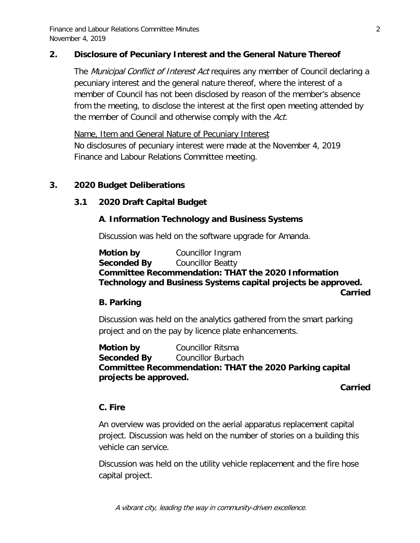Finance and Labour Relations Committee Minutes 2 November 4, 2019

## **2. Disclosure of Pecuniary Interest and the General Nature Thereof**

The *Municipal Conflict of Interest Act* requires any member of Council declaring a pecuniary interest and the general nature thereof, where the interest of a member of Council has not been disclosed by reason of the member's absence from the meeting, to disclose the interest at the first open meeting attended by the member of Council and otherwise comply with the Act.

Name, Item and General Nature of Pecuniary Interest No disclosures of pecuniary interest were made at the November 4, 2019 Finance and Labour Relations Committee meeting.

## **3. 2020 Budget Deliberations**

## **3.1 2020 Draft Capital Budget**

#### **A**. **Information Technology and Business Systems**

Discussion was held on the software upgrade for Amanda.

**Motion by** Councillor Ingram **Seconded By** Councillor Beatty **Committee Recommendation: THAT the 2020 Information Technology and Business Systems capital projects be approved.**

**Carried** 

## **B. Parking**

Discussion was held on the analytics gathered from the smart parking project and on the pay by licence plate enhancements.

**Motion by Councillor Ritsma Seconded By** Councillor Burbach **Committee Recommendation: THAT the 2020 Parking capital projects be approved.**

#### **Carried**

#### **C. Fire**

An overview was provided on the aerial apparatus replacement capital project. Discussion was held on the number of stories on a building this vehicle can service.

Discussion was held on the utility vehicle replacement and the fire hose capital project.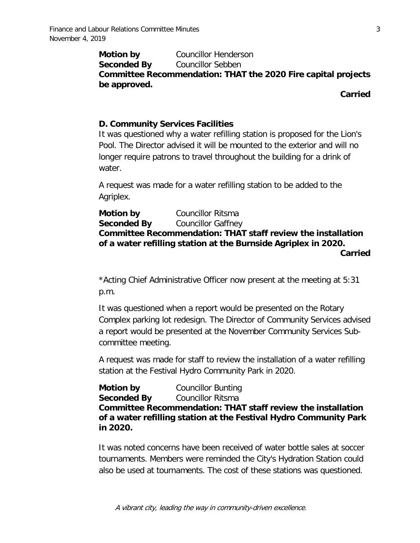**Motion by Councillor Henderson Seconded By** Councillor Sebben **Committee Recommendation: THAT the 2020 Fire capital projects be approved.**

**Carried**

## **D. Community Services Facilities**

It was questioned why a water refilling station is proposed for the Lion's Pool. The Director advised it will be mounted to the exterior and will no longer require patrons to travel throughout the building for a drink of water.

A request was made for a water refilling station to be added to the Agriplex.

**Motion by** Councillor Ritsma **Seconded By** Councillor Gaffney **Committee Recommendation: THAT staff review the installation of a water refilling station at the Burnside Agriplex in 2020. Carried**

\*Acting Chief Administrative Officer now present at the meeting at 5:31 p.m.

It was questioned when a report would be presented on the Rotary Complex parking lot redesign. The Director of Community Services advised a report would be presented at the November Community Services Subcommittee meeting.

A request was made for staff to review the installation of a water refilling station at the Festival Hydro Community Park in 2020.

**Motion by Councillor Bunting Seconded By** Councillor Ritsma **Committee Recommendation: THAT staff review the installation of a water refilling station at the Festival Hydro Community Park in 2020.**

It was noted concerns have been received of water bottle sales at soccer tournaments. Members were reminded the City's Hydration Station could also be used at tournaments. The cost of these stations was questioned.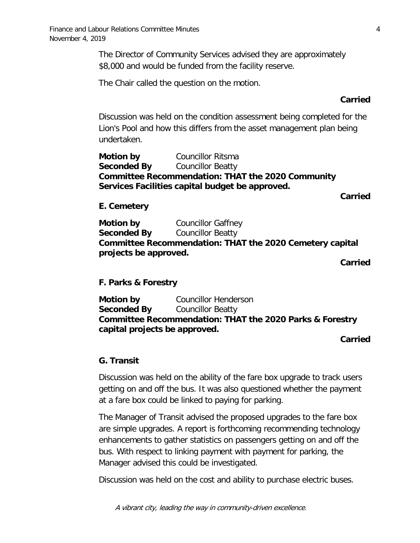The Director of Community Services advised they are approximately \$8,000 and would be funded from the facility reserve.

The Chair called the question on the motion.

#### **Carried**

Discussion was held on the condition assessment being completed for the Lion's Pool and how this differs from the asset management plan being undertaken.

**Motion by** Councillor Ritsma **Seconded By** Councillor Beatty **Committee Recommendation: THAT the 2020 Community Services Facilities capital budget be approved.**

**Carried**

#### **E. Cemetery**

**Motion by Councillor Gaffney Seconded By** Councillor Beatty **Committee Recommendation: THAT the 2020 Cemetery capital projects be approved.**

**Carried**

#### **F. Parks & Forestry**

**Motion by Councillor Henderson Seconded By** Councillor Beatty **Committee Recommendation: THAT the 2020 Parks & Forestry capital projects be approved.**

#### **Carried**

#### **G. Transit**

Discussion was held on the ability of the fare box upgrade to track users getting on and off the bus. It was also questioned whether the payment at a fare box could be linked to paying for parking.

The Manager of Transit advised the proposed upgrades to the fare box are simple upgrades. A report is forthcoming recommending technology enhancements to gather statistics on passengers getting on and off the bus. With respect to linking payment with payment for parking, the Manager advised this could be investigated.

Discussion was held on the cost and ability to purchase electric buses.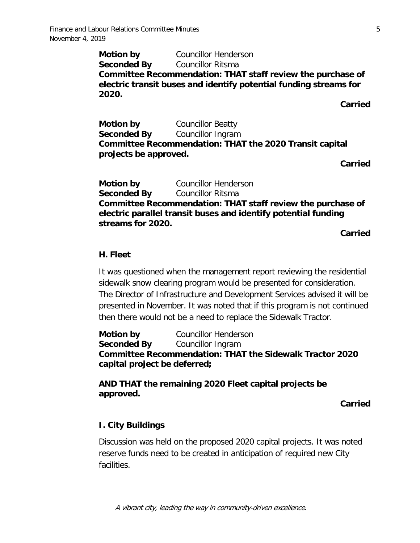**Motion by Councillor Henderson Seconded By** Councillor Ritsma **Committee Recommendation: THAT staff review the purchase of electric transit buses and identify potential funding streams for 2020.**

**Carried**

**Motion by Councillor Beatty Seconded By** Councillor Ingram **Committee Recommendation: THAT the 2020 Transit capital projects be approved.**

**Carried**

**Motion by Councillor Henderson Seconded By** Councillor Ritsma **Committee Recommendation: THAT staff review the purchase of electric parallel transit buses and identify potential funding streams for 2020.**

**Carried**

#### **H. Fleet**

It was questioned when the management report reviewing the residential sidewalk snow clearing program would be presented for consideration. The Director of Infrastructure and Development Services advised it will be presented in November. It was noted that if this program is not continued then there would not be a need to replace the Sidewalk Tractor.

**Motion by Councillor Henderson Seconded By** Councillor Ingram **Committee Recommendation: THAT the Sidewalk Tractor 2020 capital project be deferred;**

**AND THAT the remaining 2020 Fleet capital projects be approved.**

**Carried**

#### **I. City Buildings**

Discussion was held on the proposed 2020 capital projects. It was noted reserve funds need to be created in anticipation of required new City facilities.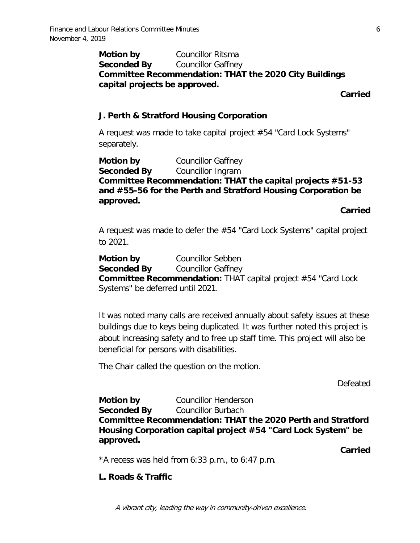## **Motion by** Councillor Ritsma **Seconded By** Councillor Gaffney **Committee Recommendation: THAT the 2020 City Buildings capital projects be approved.**

**Carried**

## **J. Perth & Stratford Housing Corporation**

A request was made to take capital project #54 "Card Lock Systems" separately.

**Motion by Councillor Gaffney Seconded By** Councillor Ingram **Committee Recommendation: THAT the capital projects #51-53 and #55-56 for the Perth and Stratford Housing Corporation be approved.** 

**Carried**

A request was made to defer the #54 "Card Lock Systems" capital project to 2021.

**Motion by** Councillor Sebben **Seconded By** Councillor Gaffney **Committee Recommendation:** THAT capital project #54 "Card Lock Systems" be deferred until 2021.

It was noted many calls are received annually about safety issues at these buildings due to keys being duplicated. It was further noted this project is about increasing safety and to free up staff time. This project will also be beneficial for persons with disabilities.

The Chair called the question on the motion.

Defeated

**Motion by Councillor Henderson Seconded By** Councillor Burbach **Committee Recommendation: THAT the 2020 Perth and Stratford Housing Corporation capital project #54 "Card Lock System" be approved.**

**Carried**

\*A recess was held from 6:33 p.m., to 6:47 p.m.

## **L. Roads & Traffic**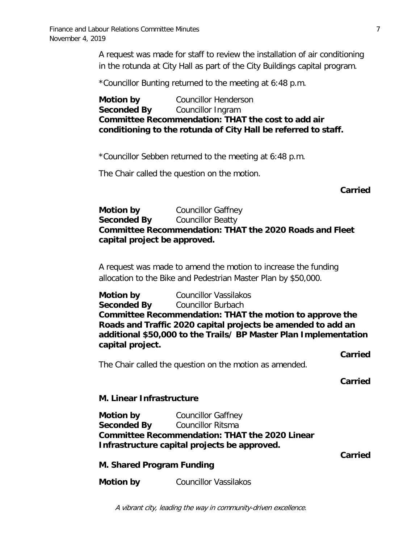A request was made for staff to review the installation of air conditioning in the rotunda at City Hall as part of the City Buildings capital program.

\*Councillor Bunting returned to the meeting at 6:48 p.m.

**Motion by Councillor Henderson Seconded By** Councillor Ingram **Committee Recommendation: THAT the cost to add air conditioning to the rotunda of City Hall be referred to staff.**

\*Councillor Sebben returned to the meeting at 6:48 p.m.

The Chair called the question on the motion.

**Carried**

## **Motion by Councillor Gaffney Seconded By** Councillor Beatty **Committee Recommendation: THAT the 2020 Roads and Fleet capital project be approved.**

A request was made to amend the motion to increase the funding allocation to the Bike and Pedestrian Master Plan by \$50,000.

**Motion by** Councillor Vassilakos **Seconded By** Councillor Burbach **Committee Recommendation: THAT the motion to approve the Roads and Traffic 2020 capital projects be amended to add an additional \$50,000 to the Trails/ BP Master Plan Implementation capital project.**

**Carried**

The Chair called the question on the motion as amended.

**Carried**

#### **M. Linear Infrastructure**

**Motion by Councillor Gaffney Seconded By** Councillor Ritsma **Committee Recommendation: THAT the 2020 Linear Infrastructure capital projects be approved.**

**Carried** 

**M. Shared Program Funding**

**Motion by** Councillor Vassilakos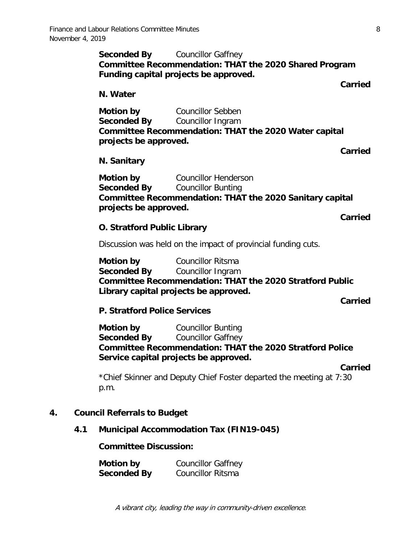**Seconded By** Councillor Gaffney **Committee Recommendation: THAT the 2020 Shared Program Funding capital projects be approved.**

**Carried** 

**N. Water**

**Motion by** Councillor Sebben **Seconded By** Councillor Ingram **Committee Recommendation: THAT the 2020 Water capital projects be approved.**

**Carried** 

#### **N. Sanitary**

**Motion by Councillor Henderson Seconded By** Councillor Bunting **Committee Recommendation: THAT the 2020 Sanitary capital projects be approved.**

**Carried**

#### **O. Stratford Public Library**

Discussion was held on the impact of provincial funding cuts.

**Motion by Councillor Ritsma Seconded By** Councillor Ingram **Committee Recommendation: THAT the 2020 Stratford Public Library capital projects be approved.**

**Carried** 

#### **P. Stratford Police Services**

**Motion by Councillor Bunting Seconded By** Councillor Gaffney **Committee Recommendation: THAT the 2020 Stratford Police Service capital projects be approved.**

**Carried**

\*Chief Skinner and Deputy Chief Foster departed the meeting at 7:30 p.m.

#### **4. Council Referrals to Budget**

#### **4.1 Municipal Accommodation Tax (FIN19-045)**

**Committee Discussion:**

**Motion by Councillor Gaffney Seconded By** Councillor Ritsma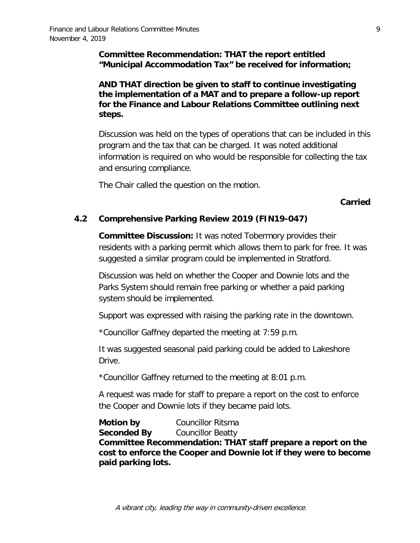## **Committee Recommendation: THAT the report entitled "Municipal Accommodation Tax" be received for information;**

**AND THAT direction be given to staff to continue investigating the implementation of a MAT and to prepare a follow-up report for the Finance and Labour Relations Committee outlining next steps.**

Discussion was held on the types of operations that can be included in this program and the tax that can be charged. It was noted additional information is required on who would be responsible for collecting the tax and ensuring compliance.

The Chair called the question on the motion.

## **Carried**

## **4.2 Comprehensive Parking Review 2019 (FIN19-047)**

**Committee Discussion:** It was noted Tobermory provides their residents with a parking permit which allows them to park for free. It was suggested a similar program could be implemented in Stratford.

Discussion was held on whether the Cooper and Downie lots and the Parks System should remain free parking or whether a paid parking system should be implemented.

Support was expressed with raising the parking rate in the downtown.

\*Councillor Gaffney departed the meeting at 7:59 p.m.

It was suggested seasonal paid parking could be added to Lakeshore Drive.

\*Councillor Gaffney returned to the meeting at 8:01 p.m.

A request was made for staff to prepare a report on the cost to enforce the Cooper and Downie lots if they became paid lots.

**Motion by Councillor Ritsma Seconded By** Councillor Beatty **Committee Recommendation: THAT staff prepare a report on the cost to enforce the Cooper and Downie lot if they were to become paid parking lots.**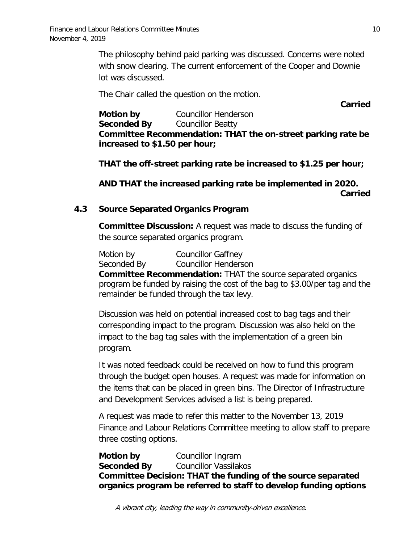The philosophy behind paid parking was discussed. Concerns were noted with snow clearing. The current enforcement of the Cooper and Downie lot was discussed.

The Chair called the question on the motion.

**Carried**

**Motion by Councillor Henderson Seconded By** Councillor Beatty **Committee Recommendation: THAT the on-street parking rate be increased to \$1.50 per hour;**

**THAT the off-street parking rate be increased to \$1.25 per hour;**

**AND THAT the increased parking rate be implemented in 2020. Carried**

## **4.3 Source Separated Organics Program**

**Committee Discussion:** A request was made to discuss the funding of the source separated organics program.

Motion by Councillor Gaffney Seconded By Councillor Henderson **Committee Recommendation:** THAT the source separated organics program be funded by raising the cost of the bag to \$3.00/per tag and the remainder be funded through the tax levy.

Discussion was held on potential increased cost to bag tags and their corresponding impact to the program. Discussion was also held on the impact to the bag tag sales with the implementation of a green bin program.

It was noted feedback could be received on how to fund this program through the budget open houses. A request was made for information on the items that can be placed in green bins. The Director of Infrastructure and Development Services advised a list is being prepared.

A request was made to refer this matter to the November 13, 2019 Finance and Labour Relations Committee meeting to allow staff to prepare three costing options.

**Motion by** Councillor Ingram **Seconded By** Councillor Vassilakos **Committee Decision: THAT the funding of the source separated organics program be referred to staff to develop funding options**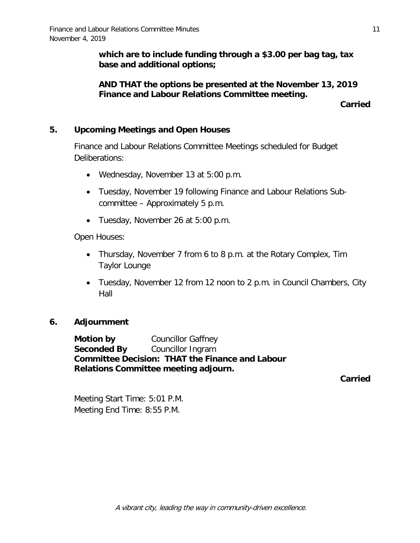**which are to include funding through a \$3.00 per bag tag, tax base and additional options;**

## **AND THAT the options be presented at the November 13, 2019 Finance and Labour Relations Committee meeting.**

**Carried**

## **5. Upcoming Meetings and Open Houses**

Finance and Labour Relations Committee Meetings scheduled for Budget Deliberations:

- Wednesday, November 13 at 5:00 p.m.
- Tuesday, November 19 following Finance and Labour Relations Subcommittee – Approximately 5 p.m.
- Tuesday, November 26 at 5:00 p.m.

Open Houses:

- Thursday, November 7 from 6 to 8 p.m. at the Rotary Complex, Tim Taylor Lounge
- Tuesday, November 12 from 12 noon to 2 p.m. in Council Chambers, City Hall

## **6. Adjournment**

**Motion by Councillor Gaffney Seconded By** Councillor Ingram **Committee Decision: THAT the Finance and Labour Relations Committee meeting adjourn.**

**Carried**

Meeting Start Time: 5:01 P.M. Meeting End Time: 8:55 P.M.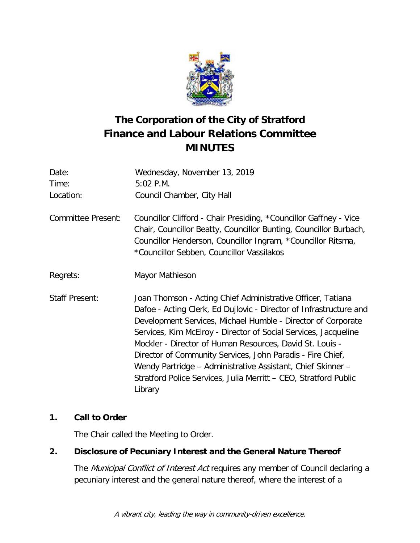

# **The Corporation of the City of Stratford Finance and Labour Relations Committee MINUTES**

| Date:                     | Wednesday, November 13, 2019                                                                                                                                                                                                                                                                                                                                                                                                                                                                                                                 |  |
|---------------------------|----------------------------------------------------------------------------------------------------------------------------------------------------------------------------------------------------------------------------------------------------------------------------------------------------------------------------------------------------------------------------------------------------------------------------------------------------------------------------------------------------------------------------------------------|--|
| Time:                     | 5:02 P.M.                                                                                                                                                                                                                                                                                                                                                                                                                                                                                                                                    |  |
| Location:                 | Council Chamber, City Hall                                                                                                                                                                                                                                                                                                                                                                                                                                                                                                                   |  |
| <b>Committee Present:</b> | Councillor Clifford - Chair Presiding, *Councillor Gaffney - Vice<br>Chair, Councillor Beatty, Councillor Bunting, Councillor Burbach,<br>Councillor Henderson, Councillor Ingram, *Councillor Ritsma,<br>*Councillor Sebben, Councillor Vassilakos                                                                                                                                                                                                                                                                                          |  |
| Regrets:                  | Mayor Mathieson                                                                                                                                                                                                                                                                                                                                                                                                                                                                                                                              |  |
| <b>Staff Present:</b>     | Joan Thomson - Acting Chief Administrative Officer, Tatiana<br>Dafoe - Acting Clerk, Ed Dujlovic - Director of Infrastructure and<br>Development Services, Michael Humble - Director of Corporate<br>Services, Kim McElroy - Director of Social Services, Jacqueline<br>Mockler - Director of Human Resources, David St. Louis -<br>Director of Community Services, John Paradis - Fire Chief,<br>Wendy Partridge - Administrative Assistant, Chief Skinner -<br>Stratford Police Services, Julia Merritt – CEO, Stratford Public<br>Library |  |

# **1. Call to Order**

The Chair called the Meeting to Order.

# **2. Disclosure of Pecuniary Interest and the General Nature Thereof**

The Municipal Conflict of Interest Act requires any member of Council declaring a pecuniary interest and the general nature thereof, where the interest of a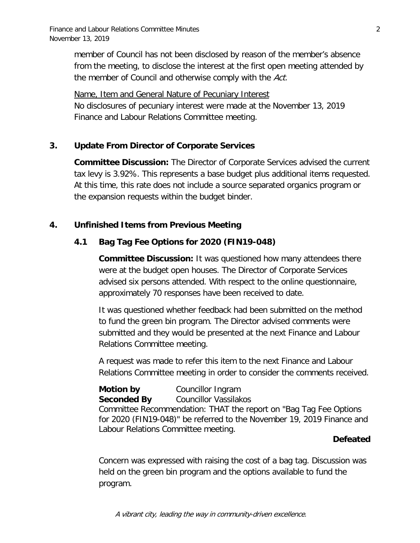member of Council has not been disclosed by reason of the member's absence from the meeting, to disclose the interest at the first open meeting attended by the member of Council and otherwise comply with the Act.

Name, Item and General Nature of Pecuniary Interest No disclosures of pecuniary interest were made at the November 13, 2019 Finance and Labour Relations Committee meeting.

## **3. Update From Director of Corporate Services**

**Committee Discussion:** The Director of Corporate Services advised the current tax levy is 3.92%. This represents a base budget plus additional items requested. At this time, this rate does not include a source separated organics program or the expansion requests within the budget binder.

## **4. Unfinished Items from Previous Meeting**

## **4.1 Bag Tag Fee Options for 2020 (FIN19-048)**

**Committee Discussion:** It was questioned how many attendees there were at the budget open houses. The Director of Corporate Services advised six persons attended. With respect to the online questionnaire, approximately 70 responses have been received to date.

It was questioned whether feedback had been submitted on the method to fund the green bin program. The Director advised comments were submitted and they would be presented at the next Finance and Labour Relations Committee meeting.

A request was made to refer this item to the next Finance and Labour Relations Committee meeting in order to consider the comments received.

**Motion by** Councillor Ingram **Seconded By** Councillor Vassilakos Committee Recommendation: THAT the report on "Bag Tag Fee Options for 2020 (FIN19-048)" be referred to the November 19, 2019 Finance and Labour Relations Committee meeting.

## **Defeated**

Concern was expressed with raising the cost of a bag tag. Discussion was held on the green bin program and the options available to fund the program.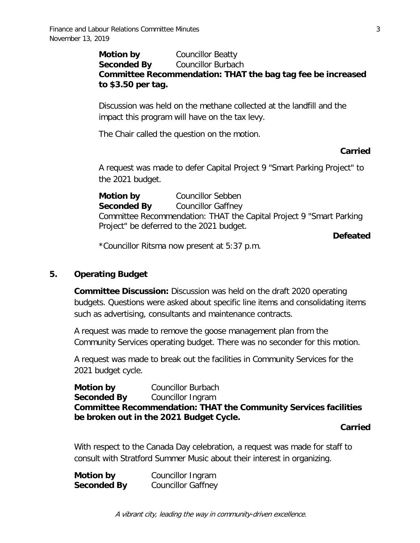## **Motion by** Councillor Beatty **Seconded By** Councillor Burbach **Committee Recommendation: THAT the bag tag fee be increased to \$3.50 per tag.**

Discussion was held on the methane collected at the landfill and the impact this program will have on the tax levy.

The Chair called the question on the motion.

#### **Carried**

A request was made to defer Capital Project 9 "Smart Parking Project" to the 2021 budget.

**Motion by** Councillor Sebben **Seconded By** Councillor Gaffney Committee Recommendation: THAT the Capital Project 9 "Smart Parking Project" be deferred to the 2021 budget.

**Defeated**

\*Councillor Ritsma now present at 5:37 p.m.

## **5. Operating Budget**

**Committee Discussion:** Discussion was held on the draft 2020 operating budgets. Questions were asked about specific line items and consolidating items such as advertising, consultants and maintenance contracts.

A request was made to remove the goose management plan from the Community Services operating budget. There was no seconder for this motion.

A request was made to break out the facilities in Community Services for the 2021 budget cycle.

**Motion by** Councillor Burbach **Seconded By** Councillor Ingram **Committee Recommendation: THAT the Community Services facilities be broken out in the 2021 Budget Cycle.**

#### **Carried**

With respect to the Canada Day celebration, a request was made for staff to consult with Stratford Summer Music about their interest in organizing.

| Motion by          | Councillor Ingram         |
|--------------------|---------------------------|
| <b>Seconded By</b> | <b>Councillor Gaffney</b> |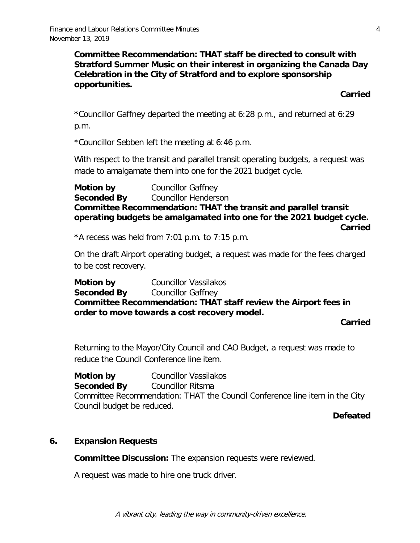**Committee Recommendation: THAT staff be directed to consult with Stratford Summer Music on their interest in organizing the Canada Day Celebration in the City of Stratford and to explore sponsorship opportunities.**

**Carried**

\*Councillor Gaffney departed the meeting at 6:28 p.m., and returned at 6:29 p.m.

\*Councillor Sebben left the meeting at 6:46 p.m.

With respect to the transit and parallel transit operating budgets, a request was made to amalgamate them into one for the 2021 budget cycle.

**Motion by** Councillor Gaffney **Seconded By** Councillor Henderson **Committee Recommendation: THAT the transit and parallel transit operating budgets be amalgamated into one for the 2021 budget cycle. Carried**

\*A recess was held from 7:01 p.m. to 7:15 p.m.

On the draft Airport operating budget, a request was made for the fees charged to be cost recovery.

**Motion by** Councillor Vassilakos **Seconded By** Councillor Gaffney **Committee Recommendation: THAT staff review the Airport fees in order to move towards a cost recovery model.**

**Carried**

Returning to the Mayor/City Council and CAO Budget, a request was made to reduce the Council Conference line item.

**Motion by** Councillor Vassilakos **Seconded By** Councillor Ritsma Committee Recommendation: THAT the Council Conference line item in the City Council budget be reduced.

**Defeated**

## **6. Expansion Requests**

**Committee Discussion:** The expansion requests were reviewed.

A request was made to hire one truck driver.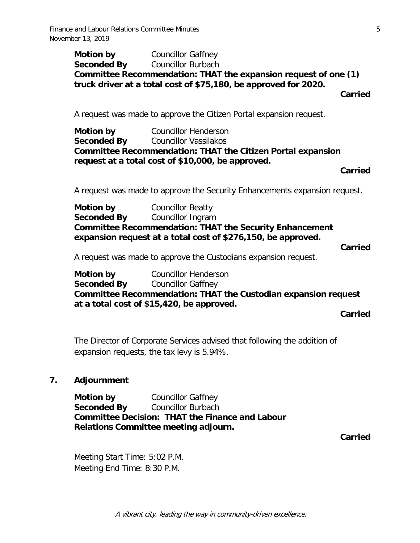**Motion by** Councillor Gaffney **Seconded By** Councillor Burbach **Committee Recommendation: THAT the expansion request of one (1) truck driver at a total cost of \$75,180, be approved for 2020.**

**Carried**

A request was made to approve the Citizen Portal expansion request.

**Motion by Councillor Henderson Seconded By** Councillor Vassilakos **Committee Recommendation: THAT the Citizen Portal expansion request at a total cost of \$10,000, be approved.**

#### **Carried**

A request was made to approve the Security Enhancements expansion request.

**Motion by Councillor Beatty Seconded By** Councillor Ingram **Committee Recommendation: THAT the Security Enhancement expansion request at a total cost of \$276,150, be approved.**

**Carried**

A request was made to approve the Custodians expansion request.

**Motion by Councillor Henderson Seconded By** Councillor Gaffney **Committee Recommendation: THAT the Custodian expansion request at a total cost of \$15,420, be approved.**

**Carried**

The Director of Corporate Services advised that following the addition of expansion requests, the tax levy is 5.94%.

## **7. Adjournment**

**Motion by Councillor Gaffney Seconded By** Councillor Burbach **Committee Decision: THAT the Finance and Labour Relations Committee meeting adjourn.**

**Carried**

Meeting Start Time: 5:02 P.M. Meeting End Time: 8:30 P.M.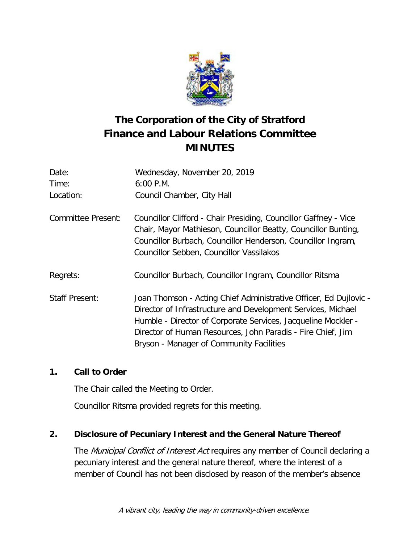

# **The Corporation of the City of Stratford Finance and Labour Relations Committee MINUTES**

| Date:                     | Wednesday, November 20, 2019                                                                                                                                                                                                                                                                                  |
|---------------------------|---------------------------------------------------------------------------------------------------------------------------------------------------------------------------------------------------------------------------------------------------------------------------------------------------------------|
| Time:                     | $6:00$ P.M.                                                                                                                                                                                                                                                                                                   |
| Location:                 | Council Chamber, City Hall                                                                                                                                                                                                                                                                                    |
| <b>Committee Present:</b> | Councillor Clifford - Chair Presiding, Councillor Gaffney - Vice<br>Chair, Mayor Mathieson, Councillor Beatty, Councillor Bunting,<br>Councillor Burbach, Councillor Henderson, Councillor Ingram,<br>Councillor Sebben, Councillor Vassilakos                                                                |
| Regrets:                  | Councillor Burbach, Councillor Ingram, Councillor Ritsma                                                                                                                                                                                                                                                      |
| <b>Staff Present:</b>     | Joan Thomson - Acting Chief Administrative Officer, Ed Dujlovic -<br>Director of Infrastructure and Development Services, Michael<br>Humble - Director of Corporate Services, Jacqueline Mockler -<br>Director of Human Resources, John Paradis - Fire Chief, Jim<br>Bryson - Manager of Community Facilities |

## **1. Call to Order**

The Chair called the Meeting to Order.

Councillor Ritsma provided regrets for this meeting.

# **2. Disclosure of Pecuniary Interest and the General Nature Thereof**

The Municipal Conflict of Interest Act requires any member of Council declaring a pecuniary interest and the general nature thereof, where the interest of a member of Council has not been disclosed by reason of the member's absence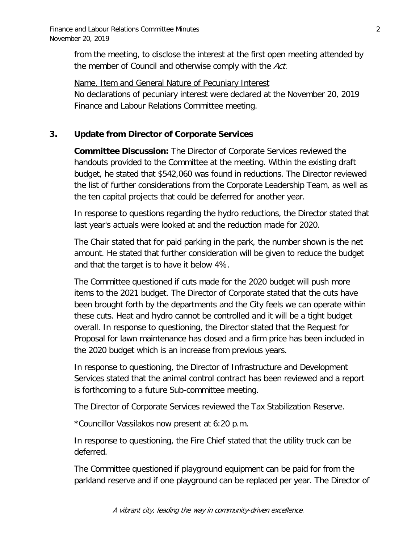from the meeting, to disclose the interest at the first open meeting attended by the member of Council and otherwise comply with the Act.

Name, Item and General Nature of Pecuniary Interest No declarations of pecuniary interest were declared at the November 20, 2019 Finance and Labour Relations Committee meeting.

## **3. Update from Director of Corporate Services**

**Committee Discussion:** The Director of Corporate Services reviewed the handouts provided to the Committee at the meeting. Within the existing draft budget, he stated that \$542,060 was found in reductions. The Director reviewed the list of further considerations from the Corporate Leadership Team, as well as the ten capital projects that could be deferred for another year.

In response to questions regarding the hydro reductions, the Director stated that last year's actuals were looked at and the reduction made for 2020.

The Chair stated that for paid parking in the park, the number shown is the net amount. He stated that further consideration will be given to reduce the budget and that the target is to have it below 4%.

The Committee questioned if cuts made for the 2020 budget will push more items to the 2021 budget. The Director of Corporate stated that the cuts have been brought forth by the departments and the City feels we can operate within these cuts. Heat and hydro cannot be controlled and it will be a tight budget overall. In response to questioning, the Director stated that the Request for Proposal for lawn maintenance has closed and a firm price has been included in the 2020 budget which is an increase from previous years.

In response to questioning, the Director of Infrastructure and Development Services stated that the animal control contract has been reviewed and a report is forthcoming to a future Sub-committee meeting.

The Director of Corporate Services reviewed the Tax Stabilization Reserve.

\*Councillor Vassilakos now present at 6:20 p.m.

In response to questioning, the Fire Chief stated that the utility truck can be deferred.

The Committee questioned if playground equipment can be paid for from the parkland reserve and if one playground can be replaced per year. The Director of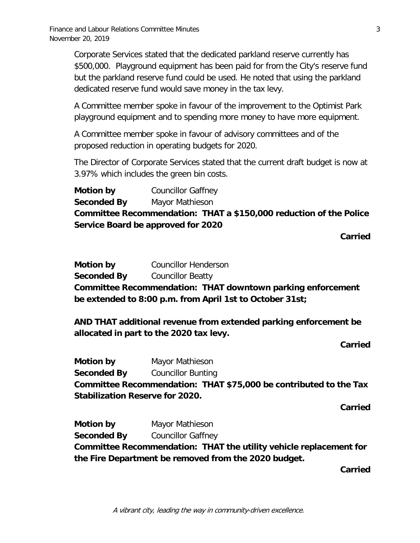Corporate Services stated that the dedicated parkland reserve currently has \$500,000. Playground equipment has been paid for from the City's reserve fund but the parkland reserve fund could be used. He noted that using the parkland dedicated reserve fund would save money in the tax levy.

A Committee member spoke in favour of the improvement to the Optimist Park playground equipment and to spending more money to have more equipment.

A Committee member spoke in favour of advisory committees and of the proposed reduction in operating budgets for 2020.

The Director of Corporate Services stated that the current draft budget is now at 3.97% which includes the green bin costs.

**Motion by Councillor Gaffney Seconded By** Mayor Mathieson **Committee Recommendation: THAT a \$150,000 reduction of the Police Service Board be approved for 2020**

**Carried**

**Motion by Councillor Henderson Seconded By** Councillor Beatty **Committee Recommendation: THAT downtown parking enforcement be extended to 8:00 p.m. from April 1st to October 31st;**

**AND THAT additional revenue from extended parking enforcement be allocated in part to the 2020 tax levy.**

**Carried**

**Motion by Mayor Mathieson Seconded By** Councillor Bunting **Committee Recommendation: THAT \$75,000 be contributed to the Tax Stabilization Reserve for 2020.**

**Carried**

**Motion by Mayor Mathieson Seconded By** Councillor Gaffney **Committee Recommendation: THAT the utility vehicle replacement for the Fire Department be removed from the 2020 budget.**

**Carried**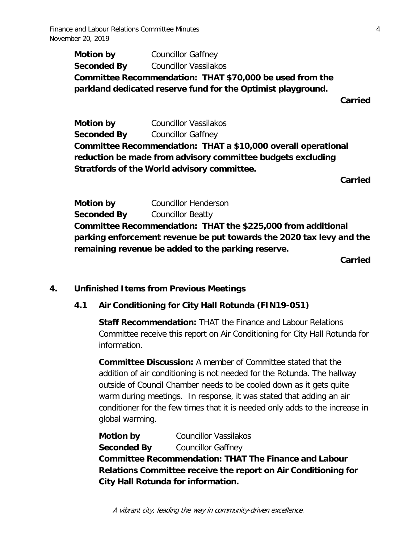Finance and Labour Relations Committee Minutes 4 November 20, 2019

**Motion by** Councillor Gaffney **Seconded By** Councillor Vassilakos **Committee Recommendation: THAT \$70,000 be used from the parkland dedicated reserve fund for the Optimist playground.**

**Carried**

**Motion by** Councillor Vassilakos **Seconded By** Councillor Gaffney **Committee Recommendation: THAT a \$10,000 overall operational reduction be made from advisory committee budgets excluding Stratfords of the World advisory committee.**

**Carried**

**Motion by Councillor Henderson Seconded By** Councillor Beatty **Committee Recommendation: THAT the \$225,000 from additional parking enforcement revenue be put towards the 2020 tax levy and the remaining revenue be added to the parking reserve.**

**Carried**

#### **4. Unfinished Items from Previous Meetings**

#### **4.1 Air Conditioning for City Hall Rotunda (FIN19-051)**

**Staff Recommendation: THAT the Finance and Labour Relations** Committee receive this report on Air Conditioning for City Hall Rotunda for information.

**Committee Discussion:** A member of Committee stated that the addition of air conditioning is not needed for the Rotunda. The hallway outside of Council Chamber needs to be cooled down as it gets quite warm during meetings. In response, it was stated that adding an air conditioner for the few times that it is needed only adds to the increase in global warming.

**Motion by Councillor Vassilakos Seconded By** Councillor Gaffney **Committee Recommendation: THAT The Finance and Labour Relations Committee receive the report on Air Conditioning for City Hall Rotunda for information.**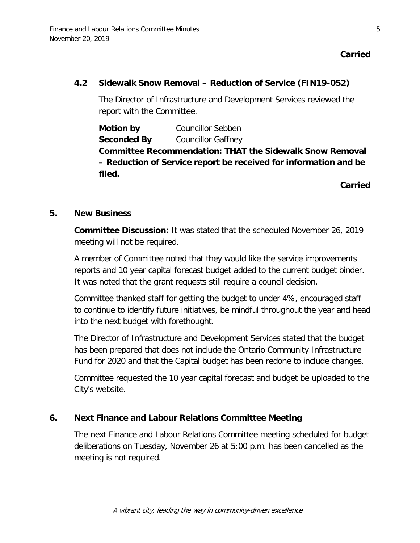**Carried**

#### **4.2 Sidewalk Snow Removal – Reduction of Service (FIN19-052)**

The Director of Infrastructure and Development Services reviewed the report with the Committee.

**Motion by** Councillor Sebben **Seconded By** Councillor Gaffney **Committee Recommendation: THAT the Sidewalk Snow Removal – Reduction of Service report be received for information and be filed.**

**Carried**

#### **5. New Business**

**Committee Discussion:** It was stated that the scheduled November 26, 2019 meeting will not be required.

A member of Committee noted that they would like the service improvements reports and 10 year capital forecast budget added to the current budget binder. It was noted that the grant requests still require a council decision.

Committee thanked staff for getting the budget to under 4%, encouraged staff to continue to identify future initiatives, be mindful throughout the year and head into the next budget with forethought.

The Director of Infrastructure and Development Services stated that the budget has been prepared that does not include the Ontario Community Infrastructure Fund for 2020 and that the Capital budget has been redone to include changes.

Committee requested the 10 year capital forecast and budget be uploaded to the City's website.

#### **6. Next Finance and Labour Relations Committee Meeting**

The next Finance and Labour Relations Committee meeting scheduled for budget deliberations on Tuesday, November 26 at 5:00 p.m. has been cancelled as the meeting is not required.